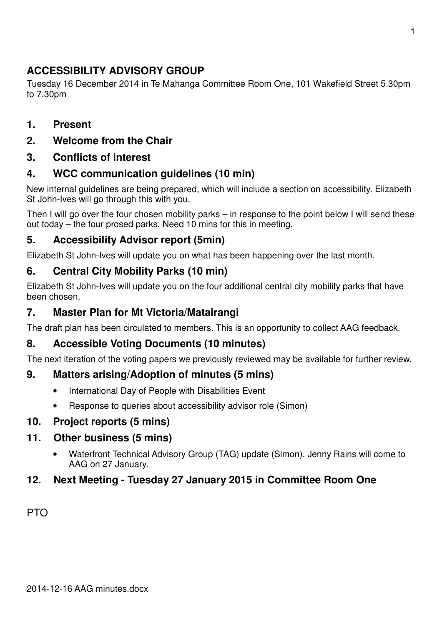# **ACCESSIBILITY ADVISORY GROUP**

Tuesday 16 December 2014 in Te Mahanga Committee Room One, 101 Wakefield Street 5.30pm to 7.30pm

### **1. Present**

**2. Welcome from the Chair** 

### **3. Conflicts of interest**

## **4. WCC communication guidelines (10 min)**

New internal guidelines are being prepared, which will include a section on accessibility. Elizabeth St John-Ives will go through this with you.

Then I will go over the four chosen mobility parks – in response to the point below I will send these out today – the four prosed parks. Need 10 mins for this in meeting.

## **5. Accessibility Advisor report (5min)**

Elizabeth St John-Ives will update you on what has been happening over the last month.

## **6. Central City Mobility Parks (10 min)**

Elizabeth St John-Ives will update you on the four additional central city mobility parks that have been chosen.

### **7. Master Plan for Mt Victoria/Matairangi**

The draft plan has been circulated to members. This is an opportunity to collect AAG feedback.

## **8. Accessible Voting Documents (10 minutes)**

The next iteration of the voting papers we previously reviewed may be available for further review.

### **9. Matters arising/Adoption of minutes (5 mins)**

- International Day of People with Disabilities Event
- Response to queries about accessibility advisor role (Simon)

### **10. Project reports (5 mins)**

### **11. Other business (5 mins)**

• Waterfront Technical Advisory Group (TAG) update (Simon). Jenny Rains will come to AAG on 27 January.

## **12. Next Meeting - Tuesday 27 January 2015 in Committee Room One**

PTO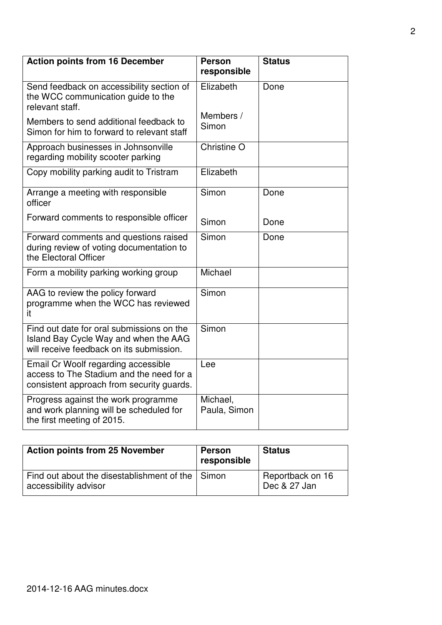| <b>Action points from 16 December</b>                                                                                          | <b>Person</b><br>responsible | <b>Status</b> |
|--------------------------------------------------------------------------------------------------------------------------------|------------------------------|---------------|
| Send feedback on accessibility section of<br>the WCC communication guide to the<br>relevant staff.                             | Elizabeth                    | Done          |
| Members to send additional feedback to<br>Simon for him to forward to relevant staff                                           | Members /<br>Simon           |               |
| Approach businesses in Johnsonville<br>regarding mobility scooter parking                                                      | Christine O                  |               |
| Copy mobility parking audit to Tristram                                                                                        | Elizabeth                    |               |
| Arrange a meeting with responsible<br>officer                                                                                  | Simon                        | Done          |
| Forward comments to responsible officer                                                                                        | Simon                        | Done          |
| Forward comments and questions raised<br>during review of voting documentation to<br>the Electoral Officer                     | Simon                        | Done          |
| Form a mobility parking working group                                                                                          | Michael                      |               |
| AAG to review the policy forward<br>programme when the WCC has reviewed<br>it                                                  | Simon                        |               |
| Find out date for oral submissions on the<br>Island Bay Cycle Way and when the AAG<br>will receive feedback on its submission. | Simon                        |               |
| Email Cr Woolf regarding accessible<br>access to The Stadium and the need for a<br>consistent approach from security guards.   | Lee                          |               |
| Progress against the work programme<br>and work planning will be scheduled for<br>the first meeting of 2015.                   | Michael.<br>Paula, Simon     |               |

| <b>Action points from 25 November</b>                                     | <b>Person</b><br>responsible | <b>Status</b>                    |
|---------------------------------------------------------------------------|------------------------------|----------------------------------|
| Find out about the disestablishment of the Simon<br>accessibility advisor |                              | Reportback on 16<br>Dec & 27 Jan |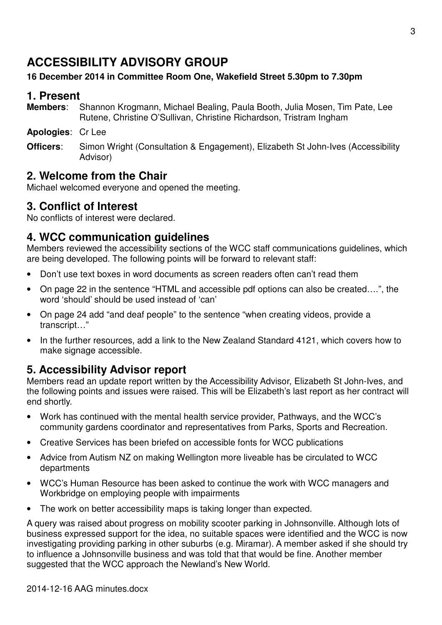# 3

## 2014-12-16 AAG minutes.docx

# **ACCESSIBILITY ADVISORY GROUP**

## **16 December 2014 in Committee Room One, Wakefield Street 5.30pm to 7.30pm**

# **1. Present**

- **Members**: Shannon Krogmann, Michael Bealing, Paula Booth, Julia Mosen, Tim Pate, Lee Rutene, Christine O'Sullivan, Christine Richardson, Tristram Ingham
- **Apologies**: Cr Lee
- **Officers**: Simon Wright (Consultation & Engagement), Elizabeth St John-Ives (Accessibility Advisor)

# **2. Welcome from the Chair**

Michael welcomed everyone and opened the meeting.

# **3. Conflict of Interest**

No conflicts of interest were declared.

# **4. WCC communication guidelines**

Members reviewed the accessibility sections of the WCC staff communications guidelines, which are being developed. The following points will be forward to relevant staff:

- Don't use text boxes in word documents as screen readers often can't read them
- On page 22 in the sentence "HTML and accessible pdf options can also be created….", the word 'should' should be used instead of 'can'
- On page 24 add "and deaf people" to the sentence "when creating videos, provide a transcript…"
- In the further resources, add a link to the New Zealand Standard 4121, which covers how to make signage accessible.

# **5. Accessibility Advisor report**

Members read an update report written by the Accessibility Advisor, Elizabeth St John-Ives, and the following points and issues were raised. This will be Elizabeth's last report as her contract will end shortly.

- Work has continued with the mental health service provider, Pathways, and the WCC's community gardens coordinator and representatives from Parks, Sports and Recreation.
- Creative Services has been briefed on accessible fonts for WCC publications
- Advice from Autism NZ on making Wellington more liveable has be circulated to WCC departments
- WCC's Human Resource has been asked to continue the work with WCC managers and Workbridge on employing people with impairments
- The work on better accessibility maps is taking longer than expected.

A query was raised about progress on mobility scooter parking in Johnsonville. Although lots of business expressed support for the idea, no suitable spaces were identified and the WCC is now investigating providing parking in other suburbs (e.g. Miramar). A member asked if she should try to influence a Johnsonville business and was told that that would be fine. Another member suggested that the WCC approach the Newland's New World.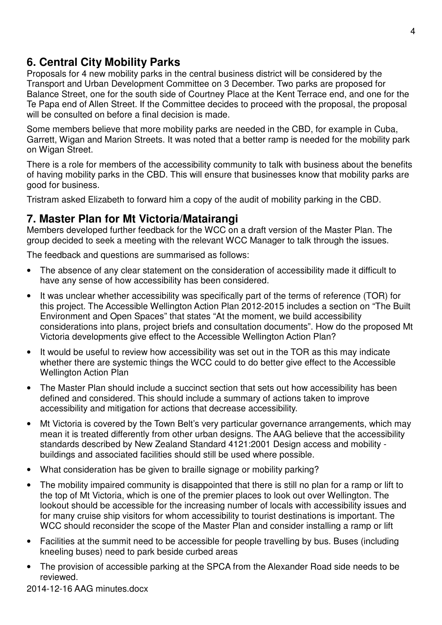## **6. Central City Mobility Parks**

Proposals for 4 new mobility parks in the central business district will be considered by the Transport and Urban Development Committee on 3 December. Two parks are proposed for Balance Street, one for the south side of Courtney Place at the Kent Terrace end, and one for the Te Papa end of Allen Street. If the Committee decides to proceed with the proposal, the proposal will be consulted on before a final decision is made.

Some members believe that more mobility parks are needed in the CBD, for example in Cuba, Garrett, Wigan and Marion Streets. It was noted that a better ramp is needed for the mobility park on Wigan Street.

There is a role for members of the accessibility community to talk with business about the benefits of having mobility parks in the CBD. This will ensure that businesses know that mobility parks are good for business.

Tristram asked Elizabeth to forward him a copy of the audit of mobility parking in the CBD.

## **7. Master Plan for Mt Victoria/Matairangi**

Members developed further feedback for the WCC on a draft version of the Master Plan. The group decided to seek a meeting with the relevant WCC Manager to talk through the issues.

The feedback and questions are summarised as follows:

- The absence of any clear statement on the consideration of accessibility made it difficult to have any sense of how accessibility has been considered.
- It was unclear whether accessibility was specifically part of the terms of reference (TOR) for this project. The Accessible Wellington Action Plan 2012-2015 includes a section on "The Built Environment and Open Spaces" that states "At the moment, we build accessibility considerations into plans, project briefs and consultation documents". How do the proposed Mt Victoria developments give effect to the Accessible Wellington Action Plan?
- It would be useful to review how accessibility was set out in the TOR as this may indicate whether there are systemic things the WCC could to do better give effect to the Accessible Wellington Action Plan
- The Master Plan should include a succinct section that sets out how accessibility has been defined and considered. This should include a summary of actions taken to improve accessibility and mitigation for actions that decrease accessibility.
- Mt Victoria is covered by the Town Belt's very particular governance arrangements, which may mean it is treated differently from other urban designs. The AAG believe that the accessibility standards described by New Zealand Standard 4121:2001 Design access and mobility buildings and associated facilities should still be used where possible.
- What consideration has be given to braille signage or mobility parking?
- The mobility impaired community is disappointed that there is still no plan for a ramp or lift to the top of Mt Victoria, which is one of the premier places to look out over Wellington. The lookout should be accessible for the increasing number of locals with accessibility issues and for many cruise ship visitors for whom accessibility to tourist destinations is important. The WCC should reconsider the scope of the Master Plan and consider installing a ramp or lift
- Facilities at the summit need to be accessible for people travelling by bus. Buses (including kneeling buses) need to park beside curbed areas
- The provision of accessible parking at the SPCA from the Alexander Road side needs to be reviewed.

2014-12-16 AAG minutes.docx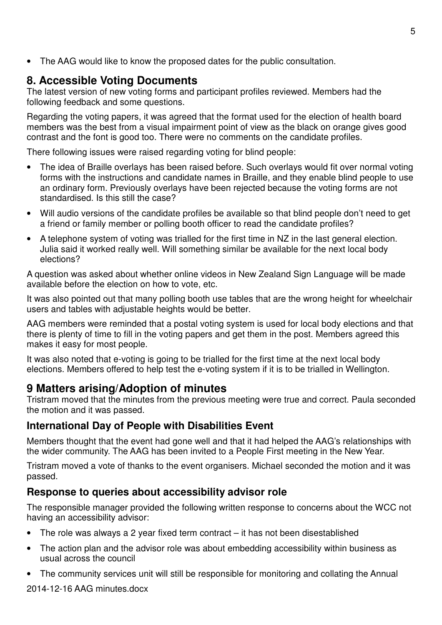• The AAG would like to know the proposed dates for the public consultation.

# **8. Accessible Voting Documents**

The latest version of new voting forms and participant profiles reviewed. Members had the following feedback and some questions.

Regarding the voting papers, it was agreed that the format used for the election of health board members was the best from a visual impairment point of view as the black on orange gives good contrast and the font is good too. There were no comments on the candidate profiles.

There following issues were raised regarding voting for blind people:

- The idea of Braille overlays has been raised before. Such overlays would fit over normal voting forms with the instructions and candidate names in Braille, and they enable blind people to use an ordinary form. Previously overlays have been rejected because the voting forms are not standardised. Is this still the case?
- Will audio versions of the candidate profiles be available so that blind people don't need to get a friend or family member or polling booth officer to read the candidate profiles?
- A telephone system of voting was trialled for the first time in NZ in the last general election. Julia said it worked really well. Will something similar be available for the next local body elections?

A question was asked about whether online videos in New Zealand Sign Language will be made available before the election on how to vote, etc.

It was also pointed out that many polling booth use tables that are the wrong height for wheelchair users and tables with adjustable heights would be better.

AAG members were reminded that a postal voting system is used for local body elections and that there is plenty of time to fill in the voting papers and get them in the post. Members agreed this makes it easy for most people.

It was also noted that e-voting is going to be trialled for the first time at the next local body elections. Members offered to help test the e-voting system if it is to be trialled in Wellington.

# **9 Matters arising/Adoption of minutes**

Tristram moved that the minutes from the previous meeting were true and correct. Paula seconded the motion and it was passed.

### **International Day of People with Disabilities Event**

Members thought that the event had gone well and that it had helped the AAG's relationships with the wider community. The AAG has been invited to a People First meeting in the New Year.

Tristram moved a vote of thanks to the event organisers. Michael seconded the motion and it was passed.

## **Response to queries about accessibility advisor role**

The responsible manager provided the following written response to concerns about the WCC not having an accessibility advisor:

- The role was always a 2 year fixed term contract it has not been disestablished
- The action plan and the advisor role was about embedding accessibility within business as usual across the council
- The community services unit will still be responsible for monitoring and collating the Annual

2014-12-16 AAG minutes.docx